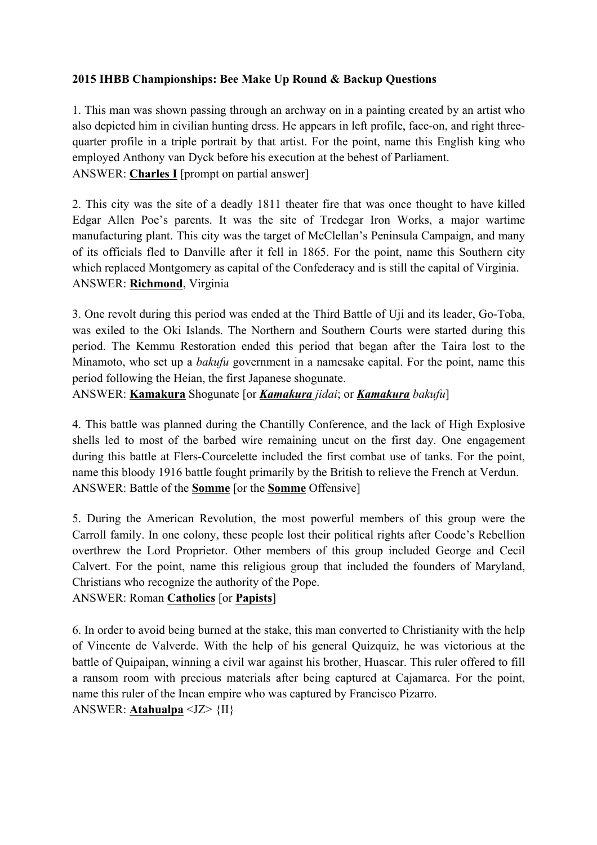## **2015 IHBB Championships: Bee Make Up Round & Backup Questions**

1. This man was shown passing through an archway on in a painting created by an artist who also depicted him in civilian hunting dress. He appears in left profile, face-on, and right threequarter profile in a triple portrait by that artist. For the point, name this English king who employed Anthony van Dyck before his execution at the behest of Parliament. ANSWER: **Charles I** [prompt on partial answer]

2. This city was the site of a deadly 1811 theater fire that was once thought to have killed Edgar Allen Poe's parents. It was the site of Tredegar Iron Works, a major wartime manufacturing plant. This city was the target of McClellan's Peninsula Campaign, and many of its officials fled to Danville after it fell in 1865. For the point, name this Southern city which replaced Montgomery as capital of the Confederacy and is still the capital of Virginia. ANSWER: **Richmond**, Virginia

3. One revolt during this period was ended at the Third Battle of Uji and its leader, Go-Toba, was exiled to the Oki Islands. The Northern and Southern Courts were started during this period. The Kemmu Restoration ended this period that began after the Taira lost to the Minamoto, who set up a *bakufu* government in a namesake capital. For the point, name this period following the Heian, the first Japanese shogunate.

ANSWER: **Kamakura** Shogunate [or *Kamakura jidai*; or *Kamakura bakufu*]

4. This battle was planned during the Chantilly Conference, and the lack of High Explosive shells led to most of the barbed wire remaining uncut on the first day. One engagement during this battle at Flers-Courcelette included the first combat use of tanks. For the point, name this bloody 1916 battle fought primarily by the British to relieve the French at Verdun. ANSWER: Battle of the **Somme** [or the **Somme** Offensive]

5. During the American Revolution, the most powerful members of this group were the Carroll family. In one colony, these people lost their political rights after Coode's Rebellion overthrew the Lord Proprietor. Other members of this group included George and Cecil Calvert. For the point, name this religious group that included the founders of Maryland, Christians who recognize the authority of the Pope.

ANSWER: Roman **Catholics** [or **Papists**]

6. In order to avoid being burned at the stake, this man converted to Christianity with the help of Vincente de Valverde. With the help of his general Quizquiz, he was victorious at the battle of Quipaipan, winning a civil war against his brother, Huascar. This ruler offered to fill a ransom room with precious materials after being captured at Cajamarca. For the point, name this ruler of the Incan empire who was captured by Francisco Pizarro. ANSWER: **Atahualpa** <JZ> {II}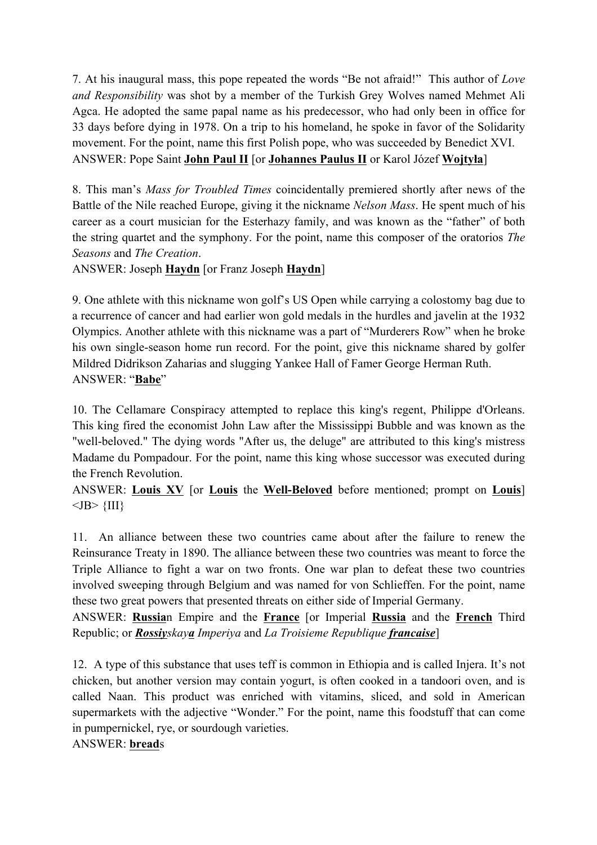7. At his inaugural mass, this pope repeated the words "Be not afraid!" This author of *Love and Responsibility* was shot by a member of the Turkish Grey Wolves named Mehmet Ali Agca. He adopted the same papal name as his predecessor, who had only been in office for 33 days before dying in 1978. On a trip to his homeland, he spoke in favor of the Solidarity movement. For the point, name this first Polish pope, who was succeeded by Benedict XVI. ANSWER: Pope Saint **John Paul II** [or **Johannes Paulus II** or Karol Józef **Wojtyła**]

8. This man's *Mass for Troubled Times* coincidentally premiered shortly after news of the Battle of the Nile reached Europe, giving it the nickname *Nelson Mass*. He spent much of his career as a court musician for the Esterhazy family, and was known as the "father" of both the string quartet and the symphony. For the point, name this composer of the oratorios *The Seasons* and *The Creation*.

ANSWER: Joseph **Haydn** [or Franz Joseph **Haydn**]

9. One athlete with this nickname won golf's US Open while carrying a colostomy bag due to a recurrence of cancer and had earlier won gold medals in the hurdles and javelin at the 1932 Olympics. Another athlete with this nickname was a part of "Murderers Row" when he broke his own single-season home run record. For the point, give this nickname shared by golfer Mildred Didrikson Zaharias and slugging Yankee Hall of Famer George Herman Ruth. ANSWER: "**Babe**"

10. The Cellamare Conspiracy attempted to replace this king's regent, Philippe d'Orleans. This king fired the economist John Law after the Mississippi Bubble and was known as the "well-beloved." The dying words "After us, the deluge" are attributed to this king's mistress Madame du Pompadour. For the point, name this king whose successor was executed during the French Revolution.

ANSWER: **Louis XV** [or **Louis** the **Well-Beloved** before mentioned; prompt on **Louis**]  $\langle$ JB> $\{III\}$ 

11. An alliance between these two countries came about after the failure to renew the Reinsurance Treaty in 1890. The alliance between these two countries was meant to force the Triple Alliance to fight a war on two fronts. One war plan to defeat these two countries involved sweeping through Belgium and was named for von Schlieffen. For the point, name these two great powers that presented threats on either side of Imperial Germany.

ANSWER: **Russia**n Empire and the **France** [or Imperial **Russia** and the **French** Third Republic; or *Rossiyskaya Imperiya* and *La Troisieme Republique francaise*]

12. A type of this substance that uses teff is common in Ethiopia and is called Injera. It's not chicken, but another version may contain yogurt, is often cooked in a tandoori oven, and is called Naan. This product was enriched with vitamins, sliced, and sold in American supermarkets with the adjective "Wonder." For the point, name this foodstuff that can come in pumpernickel, rye, or sourdough varieties.

ANSWER: **bread**s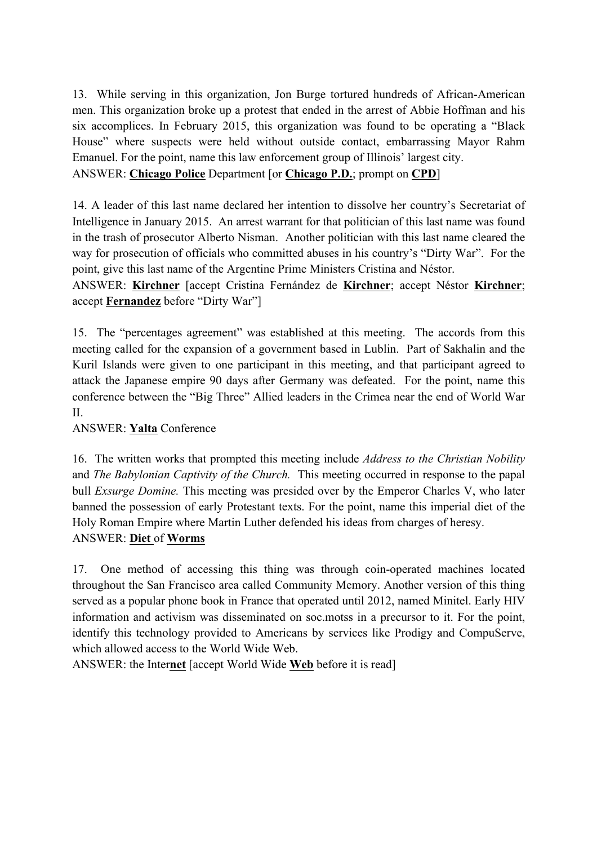13. While serving in this organization, Jon Burge tortured hundreds of African-American men. This organization broke up a protest that ended in the arrest of Abbie Hoffman and his six accomplices. In February 2015, this organization was found to be operating a "Black House" where suspects were held without outside contact, embarrassing Mayor Rahm Emanuel. For the point, name this law enforcement group of Illinois' largest city. ANSWER: **Chicago Police** Department [or **Chicago P.D.**; prompt on **CPD**]

14. A leader of this last name declared her intention to dissolve her country's Secretariat of Intelligence in January 2015. An arrest warrant for that politician of this last name was found in the trash of prosecutor Alberto Nisman. Another politician with this last name cleared the way for prosecution of officials who committed abuses in his country's "Dirty War". For the point, give this last name of the Argentine Prime Ministers Cristina and Néstor.

ANSWER: **Kirchner** [accept Cristina Fernández de **Kirchner**; accept Néstor **Kirchner**; accept **Fernandez** before "Dirty War"]

15. The "percentages agreement" was established at this meeting. The accords from this meeting called for the expansion of a government based in Lublin. Part of Sakhalin and the Kuril Islands were given to one participant in this meeting, and that participant agreed to attack the Japanese empire 90 days after Germany was defeated. For the point, name this conference between the "Big Three" Allied leaders in the Crimea near the end of World War II.

## ANSWER: **Yalta** Conference

16. The written works that prompted this meeting include *Address to the Christian Nobility*  and *The Babylonian Captivity of the Church.* This meeting occurred in response to the papal bull *Exsurge Domine.* This meeting was presided over by the Emperor Charles V, who later banned the possession of early Protestant texts. For the point, name this imperial diet of the Holy Roman Empire where Martin Luther defended his ideas from charges of heresy. ANSWER: **Diet** of **Worms**

17. One method of accessing this thing was through coin-operated machines located throughout the San Francisco area called Community Memory. Another version of this thing served as a popular phone book in France that operated until 2012, named Minitel. Early HIV information and activism was disseminated on soc.motss in a precursor to it. For the point, identify this technology provided to Americans by services like Prodigy and CompuServe, which allowed access to the World Wide Web.

ANSWER: the Inter**net** [accept World Wide **Web** before it is read]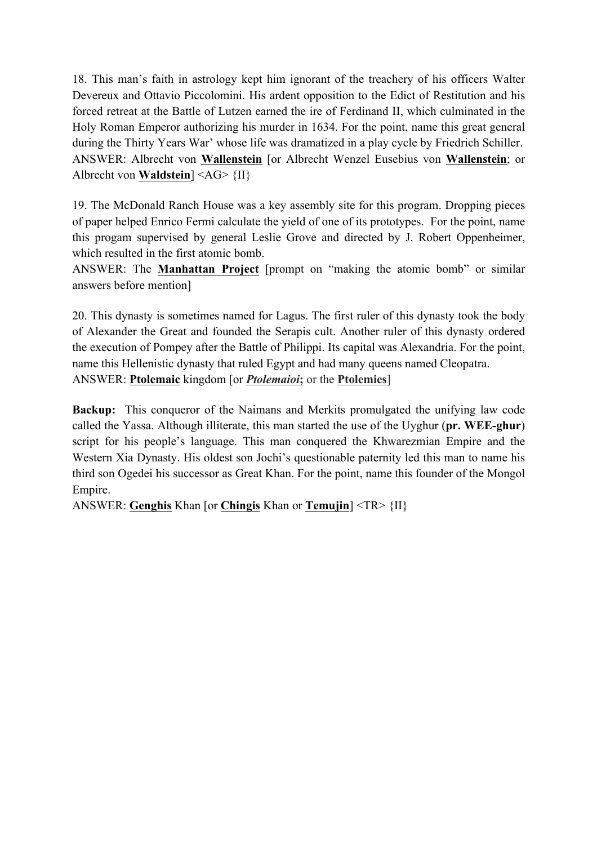18. This man's faith in astrology kept him ignorant of the treachery of his officers Walter Devereux and Ottavio Piccolomini. His ardent opposition to the Edict of Restitution and his forced retreat at the Battle of Lutzen earned the ire of Ferdinand II, which culminated in the Holy Roman Emperor authorizing his murder in 1634. For the point, name this great general during the Thirty Years War' whose life was dramatized in a play cycle by Friedrich Schiller. ANSWER: Albrecht von **Wallenstein** [or Albrecht Wenzel Eusebius von **Wallenstein**; or Albrecht von **Waldstein**] <AG> {II}

19. The McDonald Ranch House was a key assembly site for this program. Dropping pieces of paper helped Enrico Fermi calculate the yield of one of its prototypes. For the point, name this progam supervised by general Leslie Grove and directed by J. Robert Oppenheimer, which resulted in the first atomic bomb.

ANSWER: The **Manhattan Project** [prompt on "making the atomic bomb" or similar answers before mention]

20. This dynasty is sometimes named for Lagus. The first ruler of this dynasty took the body of Alexander the Great and founded the Serapis cult. Another ruler of this dynasty ordered the execution of Pompey after the Battle of Philippi. Its capital was Alexandria. For the point, name this Hellenistic dynasty that ruled Egypt and had many queens named Cleopatra. ANSWER: **Ptolemaic** kingdom [or *Ptolemaioi***;** or the **Ptolemies**]

**Backup:** This conqueror of the Naimans and Merkits promulgated the unifying law code called the Yassa. Although illiterate, this man started the use of the Uyghur (**pr. WEE-ghur**) script for his people's language. This man conquered the Khwarezmian Empire and the Western Xia Dynasty. His oldest son Jochi's questionable paternity led this man to name his third son Ogedei his successor as Great Khan. For the point, name this founder of the Mongol Empire.

ANSWER: **Genghis** Khan [or **Chingis** Khan or **Temujin**] <TR> {II}